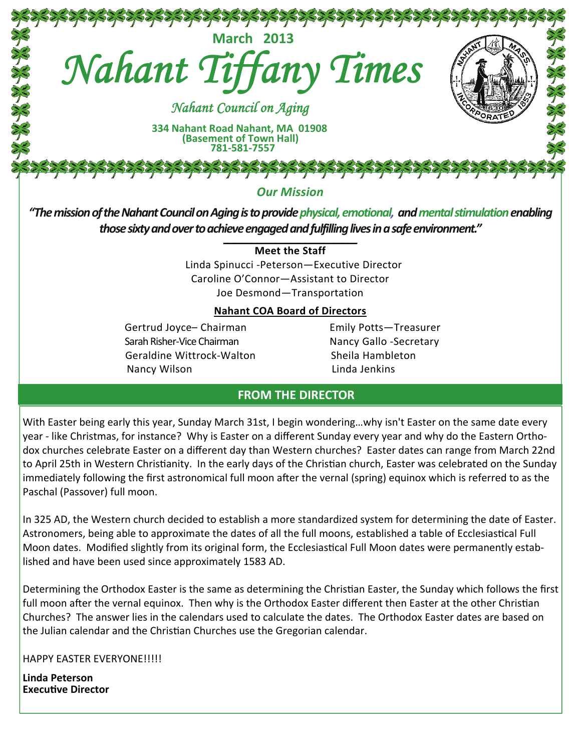

*"ThemissionoftheNahantCouncilonAgingistoprovidephysical,emotional, andmentalstimulationenabling* those sixty and over to achieve engaged and fulfilling lives in a safe environment."

#### **Meet the Staff**

 Linda Spinucci ‐Peterson—Executive Director Caroline O'Connor—Assistant to Director Joe Desmond—Transportation

#### **Nahant COA Board of Directors**

Gertrud Joyce– Chairman **Emily Potts–Treasurer**  SarahRisher‐Vice Chairman Nancy Gallo ‐Secretary Geraldine Wittrock‐Walton Sheila Hambleton Nancy Wilson **Nancy Wilson 2008** 

## **FROM THE DIRECTOR**

With Easter being early this year, Sunday March 31st, I begin wondering…why isn't Easter on the same date every year ‐ like Christmas, for instance? Why is Easter on a different Sunday every year and why do the Eastern Ortho‐ dox churches celebrate Easter on a different day than Western churches? Easter dates can range from March 22nd to April 25th in Western Christianity. In the early days of the Christian church, Easter was celebrated on the Sunday immediately following the first astronomical full moon after the vernal (spring) equinox which is referred to as the Paschal (Passover) full moon.

In 325 AD, the Western church decided to establish a more standardized system for determining the date of Easter. Astronomers, being able to approximate the dates of all the full moons, established a table of Ecclesiastical Full Moon dates. Modified slightly from its original form, the Ecclesiastical Full Moon dates were permanently established and have been used since approximately 1583 AD.

Determining the Orthodox Easter is the same as determining the Christian Easter, the Sunday which follows the first full moon after the vernal equinox. Then why is the Orthodox Easter different then Easter at the other Christian Churches? The answer lies in the calendars used to calculate the dates. The Orthodox Easter dates are based on the Julian calendar and the Christian Churches use the Gregorian calendar.

HAPPY EASTER EVERYONE!!!!!

**Linda Peterson ExecuƟve Director**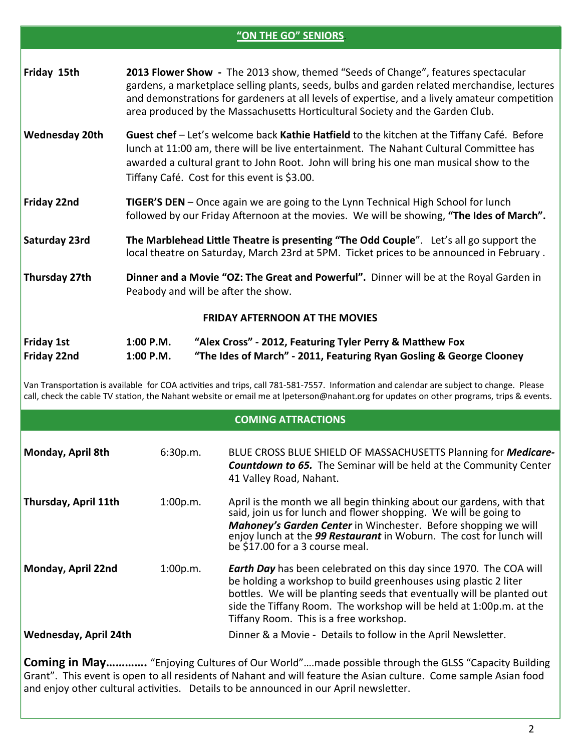|                                  |                                                                                                                                                                               | "ON THE GO" SENIORS                                                                                                                                                                                                                                                                                                                                                |
|----------------------------------|-------------------------------------------------------------------------------------------------------------------------------------------------------------------------------|--------------------------------------------------------------------------------------------------------------------------------------------------------------------------------------------------------------------------------------------------------------------------------------------------------------------------------------------------------------------|
| Friday 15th                      |                                                                                                                                                                               | 2013 Flower Show - The 2013 show, themed "Seeds of Change", features spectacular<br>gardens, a marketplace selling plants, seeds, bulbs and garden related merchandise, lectures<br>and demonstrations for gardeners at all levels of expertise, and a lively amateur competition<br>area produced by the Massachusetts Horticultural Society and the Garden Club. |
| <b>Wednesday 20th</b>            |                                                                                                                                                                               | Guest chef – Let's welcome back Kathie Hatfield to the kitchen at the Tiffany Café. Before<br>lunch at 11:00 am, there will be live entertainment. The Nahant Cultural Committee has<br>awarded a cultural grant to John Root. John will bring his one man musical show to the<br>Tiffany Café. Cost for this event is \$3.00.                                     |
| Friday 22nd                      | TIGER'S DEN - Once again we are going to the Lynn Technical High School for lunch<br>followed by our Friday Afternoon at the movies. We will be showing, "The Ides of March". |                                                                                                                                                                                                                                                                                                                                                                    |
| Saturday 23rd                    |                                                                                                                                                                               | The Marblehead Little Theatre is presenting "The Odd Couple". Let's all go support the<br>local theatre on Saturday, March 23rd at 5PM. Ticket prices to be announced in February.                                                                                                                                                                                 |
| Thursday 27th                    | Dinner and a Movie "OZ: The Great and Powerful". Dinner will be at the Royal Garden in<br>Peabody and will be after the show.                                                 |                                                                                                                                                                                                                                                                                                                                                                    |
|                                  |                                                                                                                                                                               | <b>FRIDAY AFTERNOON AT THE MOVIES</b>                                                                                                                                                                                                                                                                                                                              |
| <b>Friday 1st</b><br>Friday 22nd | 1:00 P.M.<br>1:00 P.M.                                                                                                                                                        | "Alex Cross" - 2012, Featuring Tyler Perry & Matthew Fox<br>"The Ides of March" - 2011, Featuring Ryan Gosling & George Clooney                                                                                                                                                                                                                                    |

Van Transportation is available for COA activities and trips, call 781-581-7557. Information and calendar are subject to change. Please call, check the cable TV station, the Nahant website or email me at lpeterson@nahant.org for updates on other programs, trips & events.

## **COMING ATTRACTIONS**

| Monday, April 8th            | 6:30p.m. | BLUE CROSS BLUE SHIELD OF MASSACHUSETTS Planning for Medicare-<br><b>Countdown to 65.</b> The Seminar will be held at the Community Center<br>41 Valley Road, Nahant.                                                                                                                                                                    |
|------------------------------|----------|------------------------------------------------------------------------------------------------------------------------------------------------------------------------------------------------------------------------------------------------------------------------------------------------------------------------------------------|
| Thursday, April 11th         | 1:00p.m. | April is the month we all begin thinking about our gardens, with that<br>said, join us for lunch and flower shopping. We will be going to<br><b>Mahoney's Garden Center</b> in Winchester. Before shopping we will<br>enjoy lunch at the 99 Restaurant in Woburn. The cost for lunch will<br>be \$17.00 for a 3 course meal.             |
| Monday, April 22nd           | 1:00p.m. | <b>Earth Day</b> has been celebrated on this day since 1970. The COA will<br>be holding a workshop to build greenhouses using plastic 2 liter<br>bottles. We will be planting seeds that eventually will be planted out<br>side the Tiffany Room. The workshop will be held at 1:00p.m. at the<br>Tiffany Room. This is a free workshop. |
| <b>Wednesday, April 24th</b> |          | Dinner & a Movie - Details to follow in the April Newsletter.                                                                                                                                                                                                                                                                            |

**Coming in May………….** "Enjoying Cultures of Our World"….made possible through the GLSS "Capacity Building Grant". This event is open to all residents of Nahant and will feature the Asian culture. Come sample Asian food and enjoy other cultural activities. Details to be announced in our April newsletter.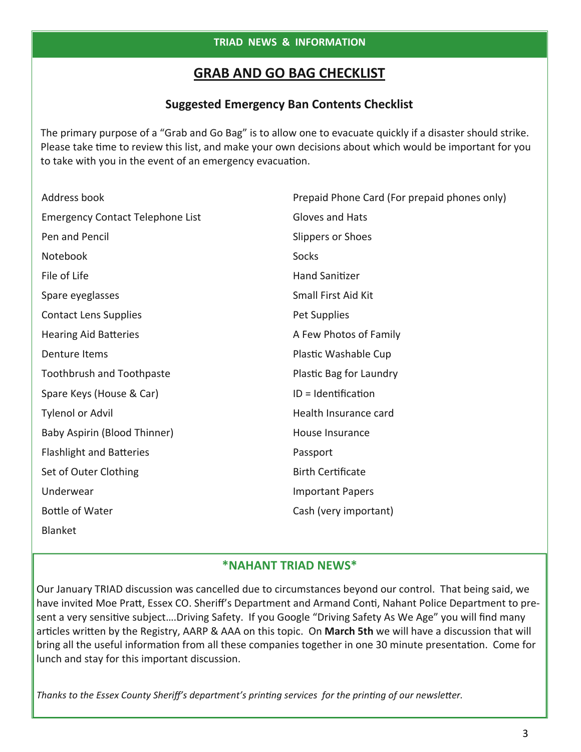# **GRAB AND GO BAG CHECKLIST**

# **Suggested Emergency Ban Contents Checklist**

The primary purpose of a "Grab and Go Bag" is to allow one to evacuate quickly if a disaster should strike. Please take time to review this list, and make your own decisions about which would be important for you to take with you in the event of an emergency evacuation.

| Address book                            | Prepaid Phone Card (For prepaid phones only) |
|-----------------------------------------|----------------------------------------------|
| <b>Emergency Contact Telephone List</b> | Gloves and Hats                              |
| Pen and Pencil                          | Slippers or Shoes                            |
| Notebook                                | <b>Socks</b>                                 |
| File of Life                            | <b>Hand Sanitizer</b>                        |
| Spare eyeglasses                        | Small First Aid Kit                          |
| <b>Contact Lens Supplies</b>            | Pet Supplies                                 |
| <b>Hearing Aid Batteries</b>            | A Few Photos of Family                       |
| Denture Items                           | Plastic Washable Cup                         |
| <b>Toothbrush and Toothpaste</b>        | Plastic Bag for Laundry                      |
| Spare Keys (House & Car)                | ID = Identification                          |
| <b>Tylenol or Advil</b>                 | Health Insurance card                        |
| Baby Aspirin (Blood Thinner)            | House Insurance                              |
| <b>Flashlight and Batteries</b>         | Passport                                     |
| Set of Outer Clothing                   | <b>Birth Certificate</b>                     |
| Underwear                               | <b>Important Papers</b>                      |
| <b>Bottle of Water</b>                  | Cash (very important)                        |
| <b>Blanket</b>                          |                                              |

## **\*NAHANT TRIAD NEWS\***

Our January TRIAD discussion was cancelled due to circumstances beyond our control. That being said, we have invited Moe Pratt, Essex CO. Sheriff's Department and Armand Conti, Nahant Police Department to present a very sensitive subject....Driving Safety. If you Google "Driving Safety As We Age" you will find many articles written by the Registry, AARP & AAA on this topic. On March 5th we will have a discussion that will bring all the useful information from all these companies together in one 30 minute presentation. Come for lunch and stay for this important discussion.

*Thanks to the Essex County Sheriff's department's prinƟng services for the prinƟng of our newsleƩer.*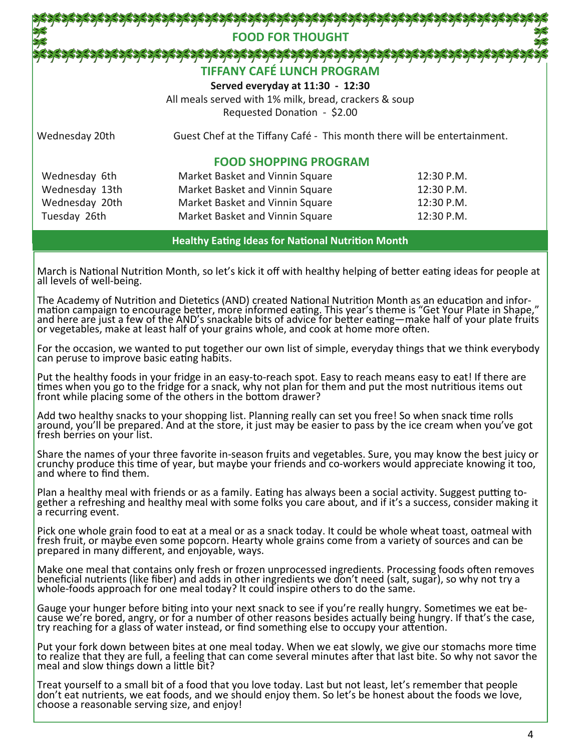# `\$\$`\$\$\$\$\$\$\$\$\$\$\$\$\$\$\$\$\$\$\$\$\$\$\$\$\$\$\$\$\$\$\$ **FOOD FOR THOUGHT TIFFANY CAFÉ LUNCH PROGRAM**

**Served everyday at 11:30 ‐ 12:30**

All meals served with 1% milk, bread, crackers & soup Requested Donation - \$2.00

Wednesday 20th Guest Chef at the Tiffany Café - This month there will be entertainment.

## **FOOD SHOPPING PROGRAM**

| Wednesday 6th  | Market Basket and Vinnin Square | 12:30 P.M.   |
|----------------|---------------------------------|--------------|
| Wednesday 13th | Market Basket and Vinnin Square | 12:30 P.M.   |
| Wednesday 20th | Market Basket and Vinnin Square | $12:30$ P.M. |
| Tuesday 26th   | Market Basket and Vinnin Square | 12:30 P.M.   |

#### **Healthy EaƟng Ideas for NaƟonal NutriƟon Month**

March is National Nutrition Month, so let's kick it off with healthy helping of better eating ideas for people at all levels of well‐being.

The Academy of Nutrition and Dietetics (AND) created National Nutrition Month as an education and information campaign to encourage better, more informed eating. This year's theme is "Get Your Plate in Shape," and here are or vegetables, make at least half of your grains whole, and cook at home more often.

For the occasion, we wanted to put together our own list of simple, everyday things that we think everybody can peruse to improve basic eating habits.

Put the healthy foods in your fridge in an easy‐to‐reach spot. Easy to reach means easy to eat! If there are times when you go to the fridge for a snack, why not plan for them and put the most nutritious items out front while placing some of the others in the bottom drawer?

Add two healthy snacks to your shopping list. Planning really can set you free! So when snack time rolls around, you'll be prepared. And at the store, it just may be easier to pass by the ice cream when you've got<br>fresh berries on your list.

Share the names of your three favorite in‐season fruits and vegetables. Sure, you may know the best juicy or crunchy produce this Ɵme of year, but maybe your friends and co‐workers would appreciate knowing it too, and where to find them.

Plan a healthy meal with friends or as a family. Eating has always been a social activity. Suggest putting to-<br>gether a refreshing and healthy meal with some folks you care about, and if it's a success, consider making it a recurring event.

Pick one whole grain food to eat at a meal or as a snack today. It could be whole wheat toast, oatmeal with fresh fruit, or maybe even some popcorn. Hearty whole grains come from a variety of sources and can be prepared in many different, and enjoyable, ways.

Make one meal that contains only fresh or frozen unprocessed ingredients. Processing foods often removes beneficial nutrients (like fiber) and adds in other ingredients we don't need (salt, sugar), so why not try a whole-foods approach for one meal today? It could inspire others to do the same.

Gauge your hunger before biting into your next snack to see if you're really hungry. Sometimes we eat be‐<br>cause we're bored, angry, or for a number of other reasons besides actually being hungry. If that's the case, try reaching for a glass of water instead, or find something else to occupy your attention.

Put your fork down between bites at one meal today. When we eat slowly, we give our stomachs more time to realize that they are full, a feeling that can come several minutes after that last bite. So why not savor the meal and slow things down a little bit?

Treat yourself to a small bit of a food that you love today. Last but not least, let's remember that people<br>don't eat nutrients, we eat foods, and we should enjoy them. So let's be honest about the foods we love, choose a reasonable serving size, and enjoy!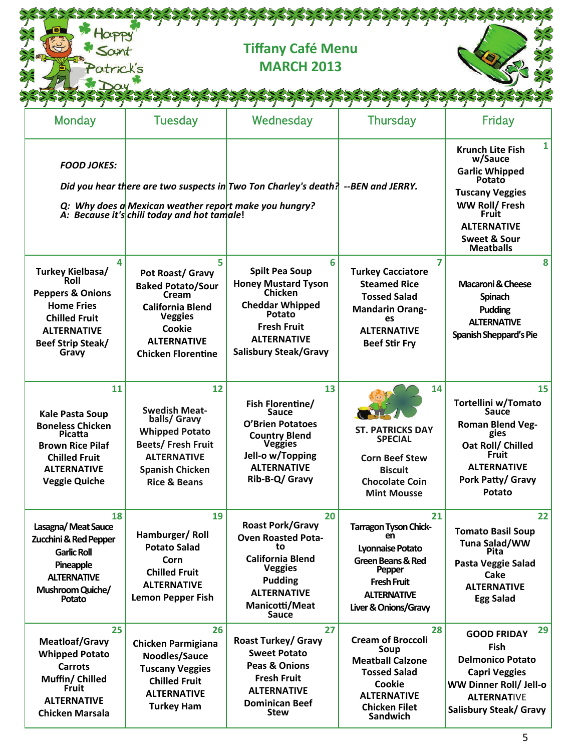| Patrick's                                                                                                                                                                   |                                                                                                                                                                      | <b>Tiffany Café Menu</b><br><b>MARCH 2013</b>                                                                                                                                       |                                                                                                                                                                 |                                                                                                                                                                                                             |
|-----------------------------------------------------------------------------------------------------------------------------------------------------------------------------|----------------------------------------------------------------------------------------------------------------------------------------------------------------------|-------------------------------------------------------------------------------------------------------------------------------------------------------------------------------------|-----------------------------------------------------------------------------------------------------------------------------------------------------------------|-------------------------------------------------------------------------------------------------------------------------------------------------------------------------------------------------------------|
| <b>Monday</b>                                                                                                                                                               | Tuesday                                                                                                                                                              | Wednesday                                                                                                                                                                           | <b>Thursday</b>                                                                                                                                                 | Friday                                                                                                                                                                                                      |
| <b>FOOD JOKES:</b>                                                                                                                                                          | Q: Why does a Mexican weather report make you hungry?<br>A: Because it's chili today and hot tamale!                                                                 | Did you hear there are two suspects in Two Ton Charley's death? --BEN and JERRY.                                                                                                    |                                                                                                                                                                 | $\mathbf{1}$<br><b>Krunch Lite Fish</b><br>w/Sauce<br><b>Garlic Whipped</b><br>Potato<br><b>Tuscany Veggies</b><br>WW Roll/ Fresh<br><b>Fruit</b><br><b>ALTERNATIVE</b><br>Sweet & Sour<br><b>Meatballs</b> |
| 4<br>Turkey Kielbasa/<br><b>Roll</b><br><b>Peppers &amp; Onions</b><br><b>Home Fries</b><br><b>Chilled Fruit</b><br><b>ALTERNATIVE</b><br><b>Beef Strip Steak/</b><br>Gravy | 5<br>Pot Roast/ Gravy<br><b>Baked Potato/Sour</b><br>Cream<br><b>California Blend</b><br><b>Veggies</b><br>Cookie<br><b>ALTERNATIVE</b><br><b>Chicken Florentine</b> | 6<br><b>Spilt Pea Soup</b><br><b>Honey Mustard Tyson</b><br>Chicken<br><b>Cheddar Whipped</b><br>Potato<br><b>Fresh Fruit</b><br><b>ALTERNATIVE</b><br><b>Salisbury Steak/Gravy</b> | <b>Turkey Cacciatore</b><br><b>Steamed Rice</b><br><b>Tossed Salad</b><br><b>Mandarin Orang-</b><br>es<br><b>ALTERNATIVE</b><br><b>Beef Stir Fry</b>            | 8<br>Macaroni & Cheese<br>Spinach<br>Pudding<br><b>ALTERNATIVE</b><br>Spanish Sheppard's Pie                                                                                                                |
| 11<br><b>Kale Pasta Soup</b><br><b>Boneless Chicken</b><br>Picatta<br><b>Brown Rice Pilaf</b><br><b>Chilled Fruit</b><br><b>ALTERNATIVE</b><br><b>Veggie Quiche</b>         | 12<br><b>Swedish Meat-</b><br>balls/ Gravy<br><b>Whipped Potato</b><br>Beets/Fresh Fruit<br><b>ALTERNATIVE</b><br><b>Spanish Chicken</b><br><b>Rice &amp; Beans</b>  | 13<br>Fish Florentine/<br><b>Sauce</b><br><b>O'Brien Potatoes</b><br><b>Country Blend</b><br><b>Veggies</b><br>Jell-o w/Topping<br><b>ALTERNATIVE</b><br>Rib-B-Q/ Gravy             | 14<br><b>ST. PATRICKS DAY</b><br><b>SPECIAL</b><br><b>Corn Beef Stew</b><br><b>Biscuit</b><br><b>Chocolate Coin</b><br><b>Mint Mousse</b>                       | 15<br>Tortellini w/Tomato<br><b>Sauce</b><br><b>Roman Blend Veg-</b><br>gies<br>Oat Roll/ Chilled<br><b>Fruit</b><br><b>ALTERNATIVE</b><br>Pork Patty/ Gravy<br>Potato                                      |
| 18<br>Lasagna/Meat Sauce<br>Zucchini & Red Pepper<br><b>Garlic Roll</b><br>Pineapple<br><b>ALTERNATIVE</b><br>Mushroom Quiche/<br>Potato                                    | 19<br>Hamburger/Roll<br><b>Potato Salad</b><br>Corn<br><b>Chilled Fruit</b><br><b>ALTERNATIVE</b><br><b>Lemon Pepper Fish</b>                                        | 20<br><b>Roast Pork/Gravy</b><br><b>Oven Roasted Pota-</b><br>to<br><b>California Blend</b><br><b>Veggies</b><br><b>Pudding</b><br><b>ALTERNATIVE</b><br>Manicotti/Meat<br>Sauce    | 21<br><b>Tarragon Tyson Chick-</b><br>en<br>Lyonnaise Potato<br>Green Beans & Red<br>Pepper<br><b>Fresh Fruit</b><br><b>ALTERNATIVE</b><br>Liver & Onions/Gravy | 22<br><b>Tomato Basil Soup</b><br>Tuna Salad/WW<br>Pita<br>Pasta Veggie Salad<br>Cake<br><b>ALTERNATIVE</b><br><b>Egg Salad</b>                                                                             |
| 25<br><b>Meatloaf/Gravy</b><br><b>Whipped Potato</b><br><b>Carrots</b><br>Muffin/ Chilled<br><b>Fruit</b><br><b>ALTERNATIVE</b><br><b>Chicken Marsala</b>                   | 26<br><b>Chicken Parmigiana</b><br>Noodles/Sauce<br><b>Tuscany Veggies</b><br><b>Chilled Fruit</b><br><b>ALTERNATIVE</b><br><b>Turkey Ham</b>                        | 27<br><b>Roast Turkey/ Gravy</b><br><b>Sweet Potato</b><br><b>Peas &amp; Onions</b><br><b>Fresh Fruit</b><br><b>ALTERNATIVE</b><br><b>Dominican Beef</b><br><b>Stew</b>             | 28<br><b>Cream of Broccoli</b><br>Soup<br><b>Meatball Calzone</b><br><b>Tossed Salad</b><br>Cookie<br><b>ALTERNATIVE</b><br><b>Chicken Filet</b><br>Sandwich    | 29<br><b>GOOD FRIDAY</b><br>Fish<br><b>Delmonico Potato</b><br><b>Capri Veggies</b><br>WW Dinner Roll/ Jell-o<br><b>ALTERNATIVE</b><br>Salisbury Steak/ Gravy                                               |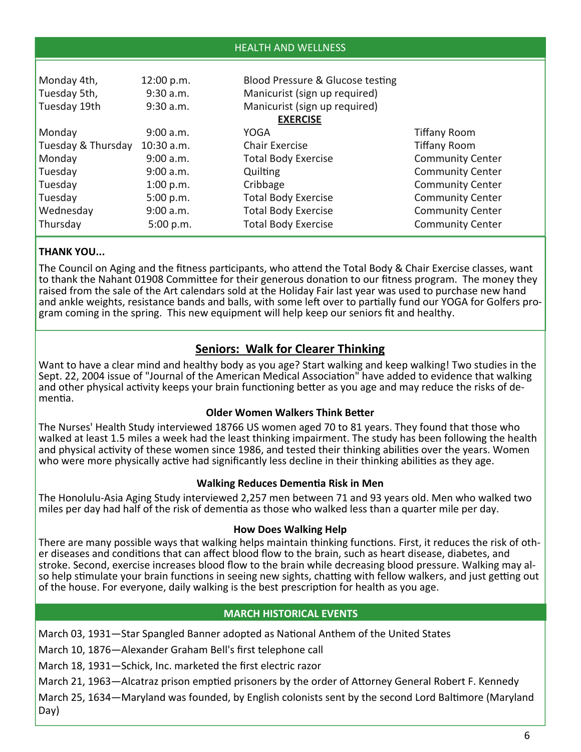| <b>HEALTH AND WELLNESS</b> |              |                                  |                         |
|----------------------------|--------------|----------------------------------|-------------------------|
|                            |              |                                  |                         |
| Monday 4th,                | 12:00 p.m.   | Blood Pressure & Glucose testing |                         |
| Tuesday 5th,               | $9:30$ a.m.  | Manicurist (sign up required)    |                         |
| Tuesday 19th               | 9:30 a.m.    | Manicurist (sign up required)    |                         |
|                            |              | <b>EXERCISE</b>                  |                         |
| Monday                     | 9:00 a.m.    | YOGA                             | <b>Tiffany Room</b>     |
| Tuesday & Thursday         | $10:30$ a.m. | <b>Chair Exercise</b>            | <b>Tiffany Room</b>     |
| Monday                     | 9:00 a.m.    | <b>Total Body Exercise</b>       | <b>Community Center</b> |
| Tuesday                    | 9:00 a.m.    | Quilting                         | <b>Community Center</b> |
| Tuesday                    | 1:00 p.m.    | Cribbage                         | <b>Community Center</b> |
| Tuesday                    | 5:00 p.m.    | <b>Total Body Exercise</b>       | <b>Community Center</b> |
| Wednesday                  | 9:00 a.m.    | <b>Total Body Exercise</b>       | <b>Community Center</b> |
| Thursday                   | 5:00 p.m.    | <b>Total Body Exercise</b>       | <b>Community Center</b> |

## **THANK YOU...**

The Council on Aging and the fitness participants, who attend the Total Body & Chair Exercise classes, want to thank the Nahant 01908 Committee for their generous donation to our fitness program. The money they raised from the sale of the Art calendars sold at the Holiday Fair last year was used to purchase new hand and ankle weights, resistance bands and balls, with some left over to partially fund our YOGA for Golfers pro-<br>gram coming in the spring. This new equipment will help keep our seniors fit and healthy.

# **Seniors: Walk for Clearer Thinking**

Want to have a clear mind and healthy body as you age? Start walking and keep walking! Two studies in the Sept. 22, 2004 issue of "Journal of the American Medical Association" have added to evidence that walking and other physical activity keeps your brain functioning better as you age and may reduce the risks of de-<br>mentia.

## **Older Women Walkers Think Better**

The Nurses' Health Study interviewed 18766 US women aged 70 to 81 years. They found that those who walked at least 1.5 miles a week had the least thinking impairment. The study has been following the health and physical activity of these women since 1986, and tested their thinking abilities over the years. Women who were more physically active had significantly less decline in their thinking abilities as they age.

## **Walking Reduces DemenƟa Risk in Men**

The Honolulu‐Asia Aging Study interviewed 2,257 men between 71 and 93 years old. Men who walked two miles per day had half of the risk of dementia as those who walked less than a quarter mile per day.

#### **How Does Walking Help**

There are many possible ways that walking helps maintain thinking functions. First, it reduces the risk of other diseases and conditions that can affect blood flow to the brain, such as heart disease, diabetes, and stroke. so help stimulate your brain functions in seeing new sights, chatting with fellow walkers, and just getting out of the house. For everyone, daily walking is the best prescription for health as you age.

## **MARCH HISTORICAL EVENTS**

March 03, 1931—Star Spangled Banner adopted as National Anthem of the United States

March 10, 1876—Alexander Graham Bell's first telephone call

March 18, 1931—Schick, Inc. marketed the first electric razor

March 21, 1963—Alcatraz prison emptied prisoners by the order of Attorney General Robert F. Kennedy

March 25, 1634—Maryland was founded, by English colonists sent by the second Lord Baltimore (Maryland Day)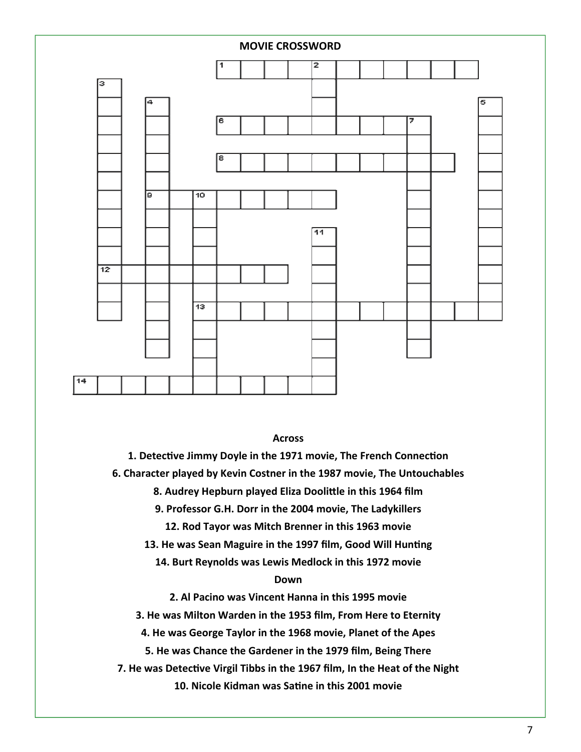

**Across**

**1. DetecƟve Jimmy Doyle in the 1971 movie, The French ConnecƟon** 

**6. Character played by Kevin Costner in the 1987 movie, The Untouchables** 

**8. Audrey Hepburn played Eliza DooliƩle in this 1964 film** 

**9. Professor G.H. Dorr in the 2004 movie, The Ladykillers** 

**12. Rod Tayor was Mitch Brenner in this 1963 movie** 

13. He was Sean Maguire in the 1997 film, Good Will Hunting

**14. Burt Reynolds was Lewis Medlock in this 1972 movie** 

#### **Down**

**2. Al Pacino was Vincent Hanna in this 1995 movie** 

**3. He was Milton Warden in the 1953 film, From Here to Eternity** 

**4. He was George Taylor in the 1968 movie, Planet of the Apes** 

**5. He was Chance the Gardener in the 1979 film, Being There** 

**7. He was DetecƟve Virgil Tibbs in the 1967 film, In the Heat of the Night** 

**10. Nicole Kidman was SaƟne in this 2001 movie**